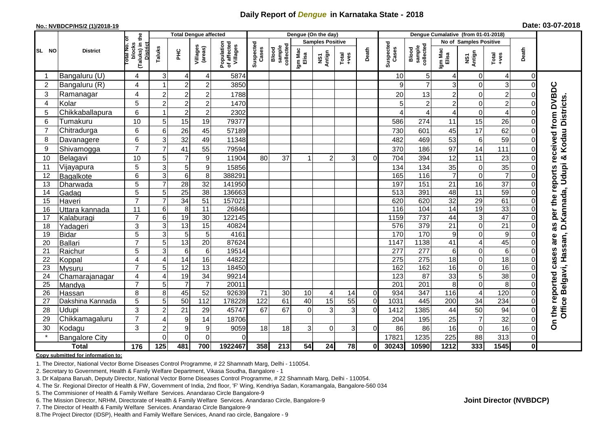## **Daily Report of** *Dengue* **in Karnataka State - 2018**

#### **No.: NVBDCP/HS/2 (1)/2018-19**

|  | Date: 03-07-2018 |  |  |
|--|------------------|--|--|
|--|------------------|--|--|

|                |                       |                                                             | <b>Total Dengue affected</b> |                 |                     |                                       | Dengue (On the day) |                              |                  |                         |                 |                |                    | Dengue Cumalative (from 01-01-2018) |                         |                               |                       |                |                                            |  |
|----------------|-----------------------|-------------------------------------------------------------|------------------------------|-----------------|---------------------|---------------------------------------|---------------------|------------------------------|------------------|-------------------------|-----------------|----------------|--------------------|-------------------------------------|-------------------------|-------------------------------|-----------------------|----------------|--------------------------------------------|--|
|                |                       |                                                             |                              |                 |                     |                                       |                     |                              |                  | <b>Samples Positive</b> |                 |                |                    |                                     |                         | No of Samples Positive        |                       |                |                                            |  |
| SL NO          | <b>District</b>       | (Taluks) in the<br>otal No. of<br>blocks<br><b>District</b> | Taluks                       | ЭHС             | Villages<br>(areas) | Population<br>of affected<br>Villages | Suspected<br>Cases  | collected<br>sample<br>Blood | Igm Mac<br>Elisa | NS1<br>Antign           | Total<br>$+ves$ | Death          | Suspected<br>Cases | sample<br>collected<br>Blood        | Igm Mac<br>Elisa        | NS1<br>Antign                 | Total<br>+ves         | Death          |                                            |  |
| -1             | Bangaluru (U)         | $\overline{4}$                                              | $\mathbf{3}$                 | $\overline{4}$  | 4                   | 5874                                  |                     |                              |                  |                         |                 |                | 10                 | 5                                   | 4                       | 0                             | 4                     | $\overline{0}$ |                                            |  |
| 2              | Bangaluru (R)         | 4                                                           |                              | $\overline{2}$  | $\overline{c}$      | 3850                                  |                     |                              |                  |                         |                 |                | 9                  | $\overline{7}$                      | 3                       | $\Omega$                      | 3                     | 0              |                                            |  |
| 3              | Ramanagar             | 4                                                           | $\overline{c}$               | $\overline{2}$  | $\overline{2}$      | 1788                                  |                     |                              |                  |                         |                 |                | 20                 | 13                                  | $\overline{c}$          | $\mathbf 0$                   | $\overline{c}$        |                | received from DVBDC                        |  |
| $\overline{4}$ | Kolar                 | 5                                                           | $\overline{c}$               | $\overline{c}$  | $\overline{2}$      | 1470                                  |                     |                              |                  |                         |                 |                | 5                  | 2                                   | $\overline{\mathbf{c}}$ | 0                             | $\overline{c}$        |                |                                            |  |
| 5              | Chikkaballapura       | $6\phantom{1}$                                              |                              | $\overline{c}$  | $\overline{c}$      | 2302                                  |                     |                              |                  |                         |                 |                | 4                  | 4                                   | $\overline{4}$          | $\mathbf 0$                   | $\overline{4}$        |                |                                            |  |
| 6              | Tumakuru              | 10                                                          | 5                            | 15              | 19                  | 79377                                 |                     |                              |                  |                         |                 |                | 586                | 274                                 | 11                      | 15                            | 26                    |                | D.Kannada, Udupi & Kodau Districts         |  |
| $\overline{7}$ | Chitradurga           | 6                                                           | 6                            | 26              | 45                  | 57189                                 |                     |                              |                  |                         |                 |                | 730                | 601                                 | 45                      | 17                            | 62                    |                |                                            |  |
| 8              | Davanagere            | 6                                                           | 3                            | 32              | 49                  | 11348                                 |                     |                              |                  |                         |                 |                | 482                | 469                                 | 53                      | 6                             | 59                    |                |                                            |  |
| 9              | Shivamogga            | $\overline{7}$                                              | $\overline{7}$               | 41              | 55                  | 79594                                 |                     |                              |                  |                         |                 |                | 370                | 186                                 | 97                      | 14                            | 111                   | 0              |                                            |  |
| 10             | Belagavi              | 10                                                          | 5                            | $\overline{7}$  | 9                   | 11904                                 | 80                  | 37                           |                  | $\overline{2}$          | 3               | $\Omega$       | 704                | 394                                 | 12                      | 11                            | 23                    |                |                                            |  |
| 11             | Vijayapura            | 5                                                           | 3                            | 5               | $\boldsymbol{9}$    | 15856                                 |                     |                              |                  |                         |                 |                | 134                | 134                                 | 35                      | $\mathbf 0$                   | 35                    |                |                                            |  |
| 12             | Bagalkote             | 6                                                           | 3                            | $\,6\,$         | 8                   | 388291                                |                     |                              |                  |                         |                 |                | 165                | $\frac{116}{116}$                   | $\overline{7}$          | $\mathbf 0$                   | $\overline{7}$        |                |                                            |  |
| 13             | Dharwada              | $\overline{5}$                                              | $\overline{7}$               | 28              | $\overline{32}$     | 141950                                |                     |                              |                  |                         |                 |                | 197                | 151                                 | $\overline{21}$         | 16                            | $\overline{37}$       |                | reports                                    |  |
| 14             | Gadag                 | 5                                                           | 5                            | 25              | 38                  | 136663                                |                     |                              |                  |                         |                 |                | 513                | 391                                 | 48                      | 11                            | 59                    | 0              |                                            |  |
| 15             | Haveri                | $\overline{7}$                                              | $\overline{7}$               | 34              | 51                  | 157021                                |                     |                              |                  |                         |                 |                | 620                | 620                                 | 32                      | 29                            | 61                    |                |                                            |  |
| 16             | Uttara kannada        | 11                                                          | 6                            | $\,8\,$         | 11                  | 26846                                 |                     |                              |                  |                         |                 |                | 116                | 104                                 | 14                      | 19                            | 33                    |                | per the                                    |  |
| 17             | Kalaburagi            | $\overline{7}$                                              | 6                            | 19              | $\overline{30}$     | 122145                                |                     |                              |                  |                         |                 |                | 1159               | 737                                 | 44                      | 3                             | $\overline{47}$       |                |                                            |  |
| 18             | Yadageri              | 3                                                           | 3                            | $\overline{13}$ | 15                  | 40824                                 |                     |                              |                  |                         |                 |                | 576                | 379                                 | 21                      | $\mathbf 0$                   | $\overline{21}$       |                | as                                         |  |
| 19             | <b>Bidar</b>          | 5                                                           | 3                            | $\overline{5}$  | 5                   | 4161                                  |                     |                              |                  |                         |                 |                | 170                | 170                                 | $\boldsymbol{9}$        | $\mathbf 0$                   | 9                     |                | are                                        |  |
| 20             | Ballari               | $\overline{7}$                                              | 5                            | $\overline{13}$ | $\overline{20}$     | 87624                                 |                     |                              |                  |                         |                 |                | 1147               | 1138                                | $\overline{41}$         | 4                             | 45                    |                |                                            |  |
| 21             | Raichur               | 5                                                           | 3                            | $6\phantom{1}6$ | $\overline{6}$      | 19514                                 |                     |                              |                  |                         |                 |                | 277                | 277                                 | $\,6$                   | $\Omega$                      | $\overline{6}$        |                |                                            |  |
| 22             | Koppal                | 4                                                           | 4                            | $\overline{14}$ | 16                  | 44822                                 |                     |                              |                  |                         |                 |                | 275                | 275                                 | 18                      | $\mathbf 0$                   | 18                    | $\Omega$       | cases                                      |  |
| 23<br>24       | Mysuru                | $\overline{7}$                                              | 5<br>$\overline{4}$          | 12<br>19        | 13<br>34            | 18450<br>99214                        |                     |                              |                  |                         |                 |                | 162<br>123         | 162<br>87                           | 16<br>33                | $\mathbf 0$<br>$\overline{5}$ | 16<br>$\overline{38}$ | ΩI             |                                            |  |
| 25             | Chamarajanagar        | $\overline{4}$<br>$\overline{7}$                            | 5                            | $\overline{7}$  | $\overline{7}$      | 20011                                 |                     |                              |                  |                         |                 |                | 201                | $\overline{201}$                    | $\overline{8}$          | $\mathbf 0$                   | 8                     | $\Omega$       |                                            |  |
| 26             | Mandya<br>Hassan      | 8                                                           | 8                            | 45              | 52                  | 92639                                 | 71                  | 30                           | 10               | 4                       | 14              | $\overline{0}$ | 934                | 347                                 | 116                     | 4                             | 120                   | 0              |                                            |  |
| 27             | Dakshina Kannada      | 5                                                           | 5                            | $\overline{50}$ | $\overline{112}$    | 178228                                | 122                 | 61                           | 40               | 15                      | 55              | $\overline{0}$ | 1031               | 445                                 | 200                     | $\overline{34}$               | 234                   | $\Omega$       |                                            |  |
| 28             | Udupi                 | 3                                                           | $\overline{2}$               | 21              | 29                  | 45747                                 | 67                  | 67                           | $\Omega$         | $\overline{3}$          | $\overline{3}$  | $\overline{0}$ | 1412               | 1385                                | 44                      | 50                            | 94                    | 0              | Office Belgavi, Hassan,<br>On the reported |  |
| 29             | Chikkamagaluru        | $\overline{7}$                                              | 4                            | 9               | 14                  | 18706                                 |                     |                              |                  |                         |                 |                | 204                | 195                                 | 25                      | $\overline{7}$                | 32                    | 0              |                                            |  |
| 30             | Kodagu                | 3                                                           | $\overline{2}$               | 9               | 9                   | 9059                                  | 18                  | 18                           | 3                | $\Omega$                | 3               | 0              | 86                 | 86                                  | 16                      | $\mathbf 0$                   | 16                    | ΩI             |                                            |  |
|                | <b>Bangalore City</b> |                                                             | $\Omega$                     | $\Omega$        | $\Omega$            | 0                                     |                     |                              |                  |                         |                 |                | 17821              | 1235                                | 225                     | 88                            | 313                   | $\Omega$       |                                            |  |
|                | <b>Total</b>          | 176                                                         | 125                          | 481             | 700                 | 1922467                               | 358                 | 213                          | 54               | 24                      | 78              | 0              | 30243              | 10590                               | 1212                    | 333                           | 1545                  | $\mathbf{0}$   |                                            |  |

#### **Copy submitted for information to:**

1. The Director, National Vector Borne Diseases Control Programme, # 22 Shamnath Marg, Delhi - 110054.

2. Secretary to Government, Health & Family Welfare Department, Vikasa Soudha, Bangalore - 1

3. Dr Kalpana Baruah, Deputy Director, National Vector Borne Diseases Control Programme, # 22 Shamnath Marg, Delhi - 110054.

- 4. The Sr. Regional Director of Health & FW, Government of India, 2nd floor, 'F' Wing, Kendriya Sadan, Koramangala, Bangalore-560 034
- 5. The Commisioner of Health & Family Welfare Services. Anandarao Circle Bangalore-9
- 6. The Mission Director, NRHM, Directorate of Health & Family Welfare Services. Anandarao Circle, Bangalore-9

7. The Director of Health & Family Welfare Services. Anandarao Circle Bangalore-9

8.The Project Director (IDSP), Health and Family Welfare Services, Anand rao circle, Bangalore - 9